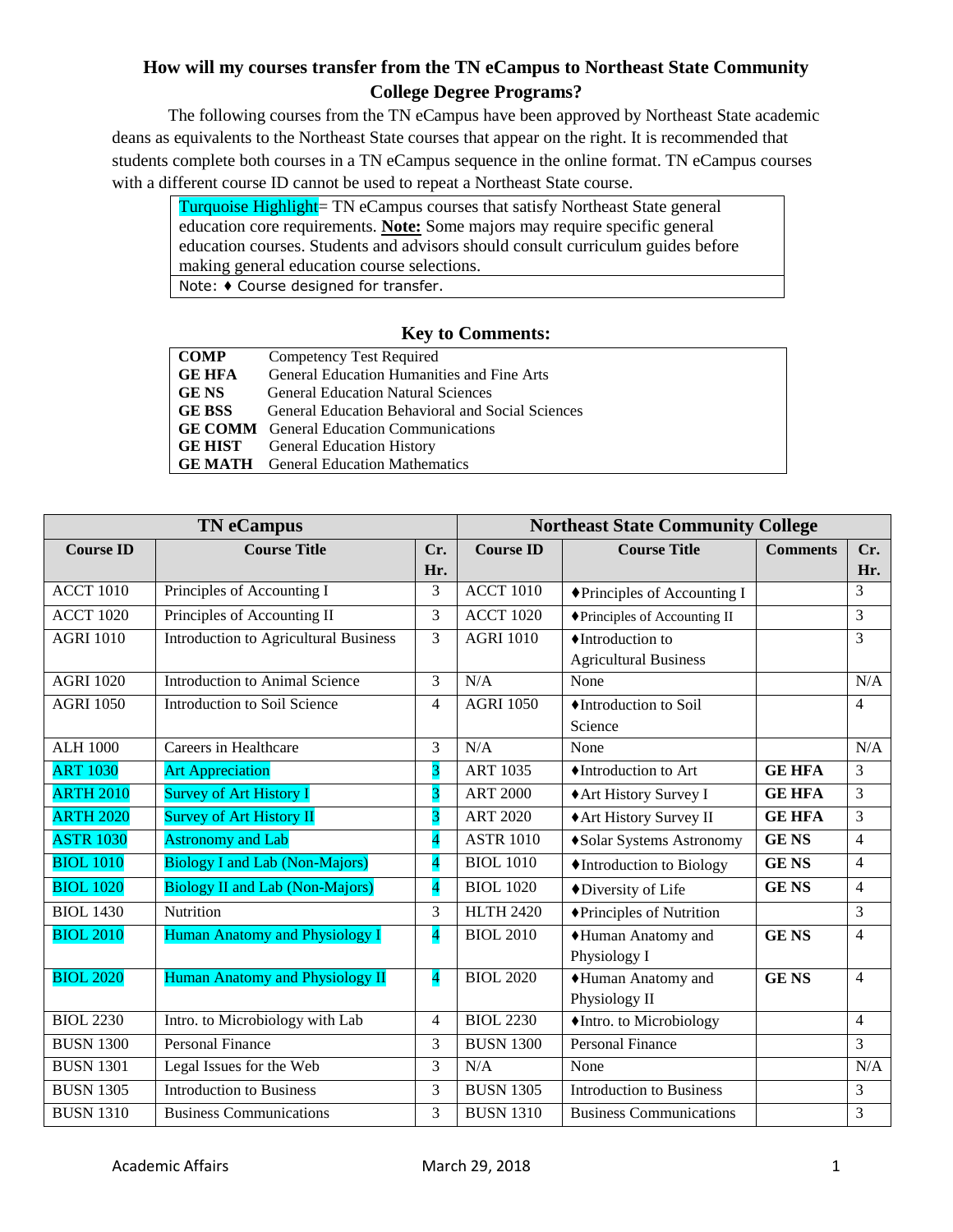## **How will my courses transfer from the TN eCampus to Northeast State Community College Degree Programs?**

The following courses from the TN eCampus have been approved by Northeast State academic deans as equivalents to the Northeast State courses that appear on the right. It is recommended that students complete both courses in a TN eCampus sequence in the online format. TN eCampus courses with a different course ID cannot be used to repeat a Northeast State course.

Turquoise Highlight= TN eCampus courses that satisfy Northeast State general education core requirements. **Note:** Some majors may require specific general education courses. Students and advisors should consult curriculum guides before making general education course selections. Note: ♦ Course designed for transfer.

## **Key to Comments:**

| <b>COMP</b>   | Competency Test Required                                |
|---------------|---------------------------------------------------------|
| <b>GE HFA</b> | General Education Humanities and Fine Arts              |
| <b>GE NS</b>  | <b>General Education Natural Sciences</b>               |
| <b>GE BSS</b> | <b>General Education Behavioral and Social Sciences</b> |
|               | <b>GE COMM</b> General Education Communications         |
|               | <b>GE HIST</b> General Education History                |
|               | <b>GE MATH</b> General Education Mathematics            |

|                  | <b>TN</b> eCampus                            | <b>Northeast State Community College</b> |                  |                                 |                 |                |
|------------------|----------------------------------------------|------------------------------------------|------------------|---------------------------------|-----------------|----------------|
| <b>Course ID</b> | <b>Course Title</b>                          | Cr.                                      | <b>Course ID</b> | <b>Course Title</b>             | <b>Comments</b> | Cr.            |
|                  |                                              | Hr.                                      |                  |                                 |                 | Hr.            |
| <b>ACCT 1010</b> | Principles of Accounting I                   | 3                                        | <b>ACCT 1010</b> | ◆ Principles of Accounting I    |                 | 3              |
| <b>ACCT 1020</b> | Principles of Accounting II                  | 3                                        | <b>ACCT 1020</b> | ◆Principles of Accounting II    |                 | $\overline{3}$ |
| <b>AGRI 1010</b> | <b>Introduction to Agricultural Business</b> | 3                                        | <b>AGRI 1010</b> | ◆Introduction to                |                 | 3              |
|                  |                                              |                                          |                  | <b>Agricultural Business</b>    |                 |                |
| <b>AGRI 1020</b> | <b>Introduction to Animal Science</b>        | 3                                        | N/A              | None                            |                 | N/A            |
| <b>AGRI 1050</b> | Introduction to Soil Science                 | $\overline{4}$                           | <b>AGRI 1050</b> | ♦Introduction to Soil           |                 | $\overline{4}$ |
|                  |                                              |                                          |                  | Science                         |                 |                |
| <b>ALH 1000</b>  | Careers in Healthcare                        | 3                                        | N/A              | None                            |                 | N/A            |
| <b>ART 1030</b>  | <b>Art Appreciation</b>                      | 3                                        | <b>ART 1035</b>  | ♦Introduction to Art            | <b>GE HFA</b>   | 3              |
| <b>ARTH 2010</b> | Survey of Art History I                      | 3                                        | <b>ART 2000</b>  | ◆ Art History Survey I          | <b>GE HFA</b>   | 3              |
| <b>ARTH 2020</b> | <b>Survey of Art History II</b>              | $\overline{\mathbf{3}}$                  | <b>ART 2020</b>  | ◆ Art History Survey II         | <b>GE HFA</b>   | 3              |
| <b>ASTR 1030</b> | <b>Astronomy and Lab</b>                     | 4                                        | <b>ASTR 1010</b> | ◆Solar Systems Astronomy        | <b>GENS</b>     | $\overline{4}$ |
| <b>BIOL 1010</b> | <b>Biology I and Lab (Non-Majors)</b>        | $\overline{\mathbf{4}}$                  | <b>BIOL 1010</b> | ♦ Introduction to Biology       | <b>GENS</b>     | $\overline{4}$ |
| <b>BIOL 1020</b> | <b>Biology II and Lab (Non-Majors)</b>       | $\overline{\mathbf{4}}$                  | <b>BIOL 1020</b> | ◆Diversity of Life              | <b>GENS</b>     | $\overline{4}$ |
| <b>BIOL 1430</b> | Nutrition                                    | $\overline{3}$                           | <b>HLTH 2420</b> | ◆Principles of Nutrition        |                 | $\overline{3}$ |
| <b>BIOL 2010</b> | <b>Human Anatomy and Physiology I</b>        | $\overline{4}$                           | <b>BIOL 2010</b> | ◆Human Anatomy and              | <b>GENS</b>     | $\overline{4}$ |
|                  |                                              |                                          |                  | Physiology I                    |                 |                |
| <b>BIOL 2020</b> | Human Anatomy and Physiology II              | $\overline{\mathbf{4}}$                  | <b>BIOL 2020</b> | ◆Human Anatomy and              | <b>GENS</b>     | $\overline{4}$ |
|                  |                                              |                                          |                  | Physiology II                   |                 |                |
| <b>BIOL 2230</b> | Intro. to Microbiology with Lab              | $\overline{4}$                           | <b>BIOL 2230</b> | •Intro. to Microbiology         |                 | $\overline{4}$ |
| <b>BUSN 1300</b> | <b>Personal Finance</b>                      | 3                                        | <b>BUSN 1300</b> | <b>Personal Finance</b>         |                 | 3              |
| <b>BUSN 1301</b> | Legal Issues for the Web                     | 3                                        | N/A              | None                            |                 | N/A            |
| <b>BUSN 1305</b> | <b>Introduction to Business</b>              | 3                                        | <b>BUSN 1305</b> | <b>Introduction to Business</b> |                 | 3              |
| <b>BUSN 1310</b> | <b>Business Communications</b>               | 3                                        | <b>BUSN 1310</b> | <b>Business Communications</b>  |                 | 3              |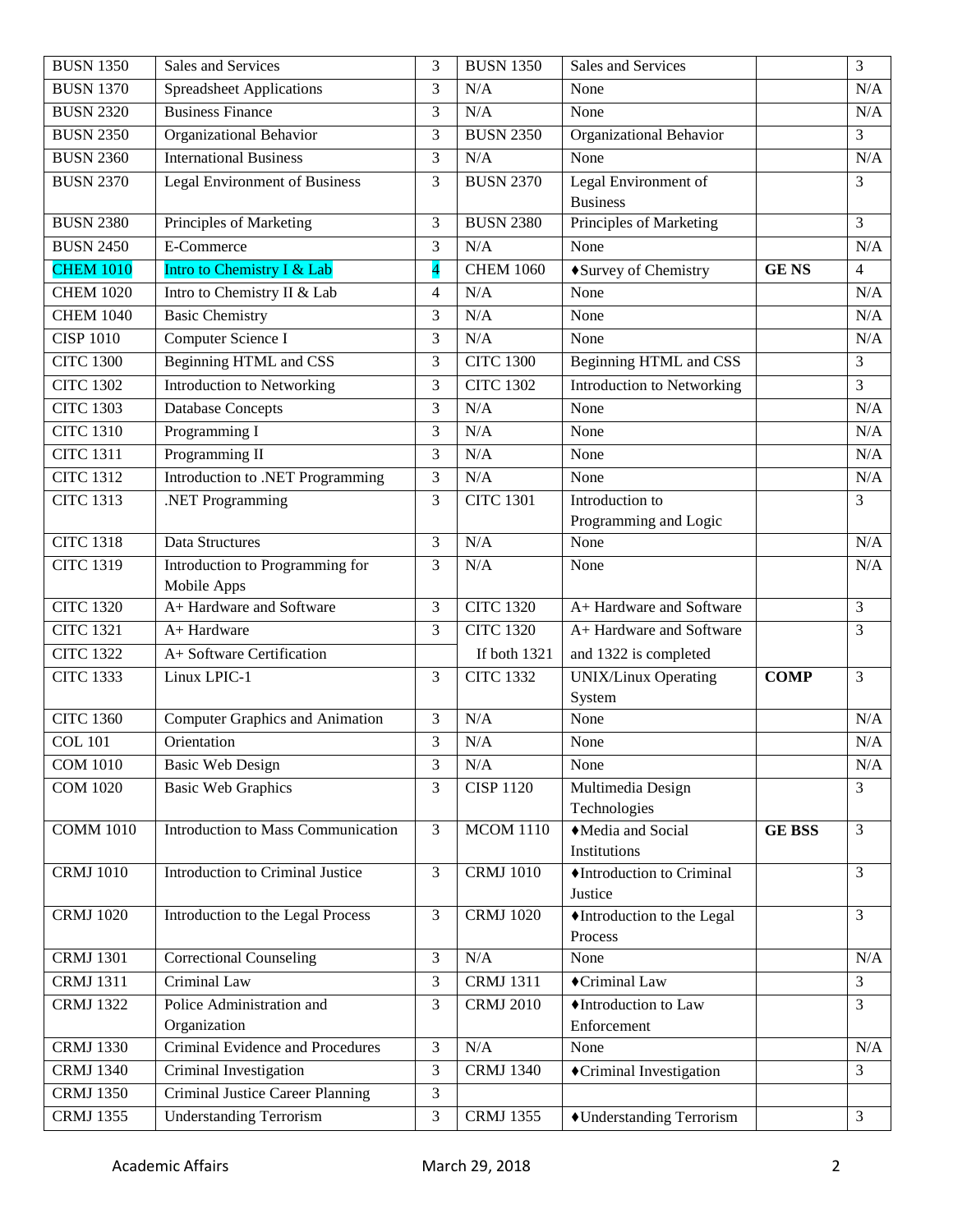| <b>BUSN 1350</b> | Sales and Services                     | 3              | <b>BUSN 1350</b> | Sales and Services               |               | 3              |
|------------------|----------------------------------------|----------------|------------------|----------------------------------|---------------|----------------|
| <b>BUSN 1370</b> | <b>Spreadsheet Applications</b>        | 3              | N/A              | None                             |               | N/A            |
| <b>BUSN 2320</b> | <b>Business Finance</b>                | 3              | N/A              | None                             |               | N/A            |
| <b>BUSN 2350</b> | Organizational Behavior                | 3              | <b>BUSN 2350</b> | Organizational Behavior          |               | 3              |
| <b>BUSN 2360</b> | <b>International Business</b>          | 3              | N/A              | None                             |               | N/A            |
| <b>BUSN 2370</b> | <b>Legal Environment of Business</b>   | 3              | <b>BUSN 2370</b> | Legal Environment of             |               | 3              |
|                  |                                        |                |                  | <b>Business</b>                  |               |                |
| <b>BUSN 2380</b> | Principles of Marketing                | 3              | <b>BUSN 2380</b> | Principles of Marketing          |               | 3              |
| <b>BUSN 2450</b> | E-Commerce                             | 3              | N/A              | None                             |               | N/A            |
| <b>CHEM 1010</b> | Intro to Chemistry I & Lab             | 4              | <b>CHEM 1060</b> | ◆Survey of Chemistry             | <b>GENS</b>   | $\overline{4}$ |
| <b>CHEM 1020</b> | Intro to Chemistry II & Lab            | $\overline{4}$ | N/A              | None                             |               | N/A            |
| <b>CHEM 1040</b> | <b>Basic Chemistry</b>                 | 3              | N/A              | None                             |               | N/A            |
| <b>CISP 1010</b> | Computer Science I                     | 3              | N/A              | None                             |               | N/A            |
| <b>CITC 1300</b> | <b>Beginning HTML and CSS</b>          | 3              | <b>CITC 1300</b> | Beginning HTML and CSS           |               | 3              |
| <b>CITC 1302</b> | <b>Introduction to Networking</b>      | 3              | <b>CITC 1302</b> | Introduction to Networking       |               | 3              |
| <b>CITC 1303</b> | <b>Database Concepts</b>               | 3              | N/A              | None                             |               | N/A            |
| <b>CITC 1310</b> | Programming I                          | 3              | N/A              | None                             |               | N/A            |
| <b>CITC 1311</b> | Programming II                         | 3              | N/A              | None                             |               | N/A            |
| <b>CITC 1312</b> | Introduction to .NET Programming       | 3              | N/A              | None                             |               | N/A            |
| <b>CITC 1313</b> | .NET Programming                       | 3              | <b>CITC 1301</b> | Introduction to                  |               | 3              |
|                  |                                        |                |                  | Programming and Logic            |               |                |
| <b>CITC 1318</b> | Data Structures                        | 3              | N/A              | None                             |               | N/A            |
| <b>CITC 1319</b> | Introduction to Programming for        | 3              | N/A              | None                             |               | N/A            |
|                  | Mobile Apps                            |                |                  |                                  |               |                |
| <b>CITC 1320</b> | A+ Hardware and Software               | 3              | <b>CITC 1320</b> | A+ Hardware and Software         |               | $\overline{3}$ |
| <b>CITC 1321</b> | A+ Hardware                            | 3              | <b>CITC 1320</b> | A+ Hardware and Software         |               | 3              |
| <b>CITC 1322</b> | A+ Software Certification              |                | If both 1321     | and 1322 is completed            |               |                |
| <b>CITC 1333</b> | Linux LPIC-1                           | 3              | <b>CITC 1332</b> | <b>UNIX/Linux Operating</b>      | <b>COMP</b>   | 3              |
|                  |                                        |                |                  | System                           |               |                |
| <b>CITC 1360</b> | <b>Computer Graphics and Animation</b> | 3              | N/A              | None                             |               | N/A            |
| <b>COL 101</b>   | Orientation                            | 3              | N/A              | None                             |               | $\rm N/A$      |
| <b>COM 1010</b>  | <b>Basic Web Design</b>                | 3              | N/A              | None                             |               | N/A            |
| <b>COM 1020</b>  | <b>Basic Web Graphics</b>              | 3              | <b>CISP 1120</b> | Multimedia Design                |               | 3              |
|                  |                                        |                |                  | Technologies                     |               |                |
| <b>COMM 1010</b> | Introduction to Mass Communication     | 3              | <b>MCOM 1110</b> | Media and Social<br>Institutions | <b>GE BSS</b> | $\overline{3}$ |
| <b>CRMJ</b> 1010 | Introduction to Criminal Justice       | 3              | <b>CRMJ</b> 1010 | ♦Introduction to Criminal        |               | $\overline{3}$ |
|                  |                                        |                |                  | Justice                          |               |                |
| <b>CRMJ</b> 1020 | Introduction to the Legal Process      | 3              | <b>CRMJ</b> 1020 | •Introduction to the Legal       |               | $\overline{3}$ |
|                  |                                        |                |                  | Process                          |               |                |
| <b>CRMJ</b> 1301 | <b>Correctional Counseling</b>         | 3              | N/A              | None                             |               | N/A            |
| <b>CRMJ</b> 1311 | Criminal Law                           | 3              | <b>CRMJ</b> 1311 | ◆Criminal Law                    |               | 3              |
| <b>CRMJ 1322</b> | Police Administration and              | 3              | <b>CRMJ</b> 2010 | ♦Introduction to Law             |               | $\overline{3}$ |
|                  | Organization                           |                |                  | Enforcement                      |               |                |
| <b>CRMJ 1330</b> |                                        | 3              | N/A              | None                             |               | N/A            |
|                  | Criminal Evidence and Procedures       |                |                  |                                  |               |                |
| <b>CRMJ 1340</b> | Criminal Investigation                 | 3              | <b>CRMJ 1340</b> | ◆Criminal Investigation          |               | $\overline{3}$ |
| <b>CRMJ</b> 1350 | Criminal Justice Career Planning       | 3              |                  |                                  |               |                |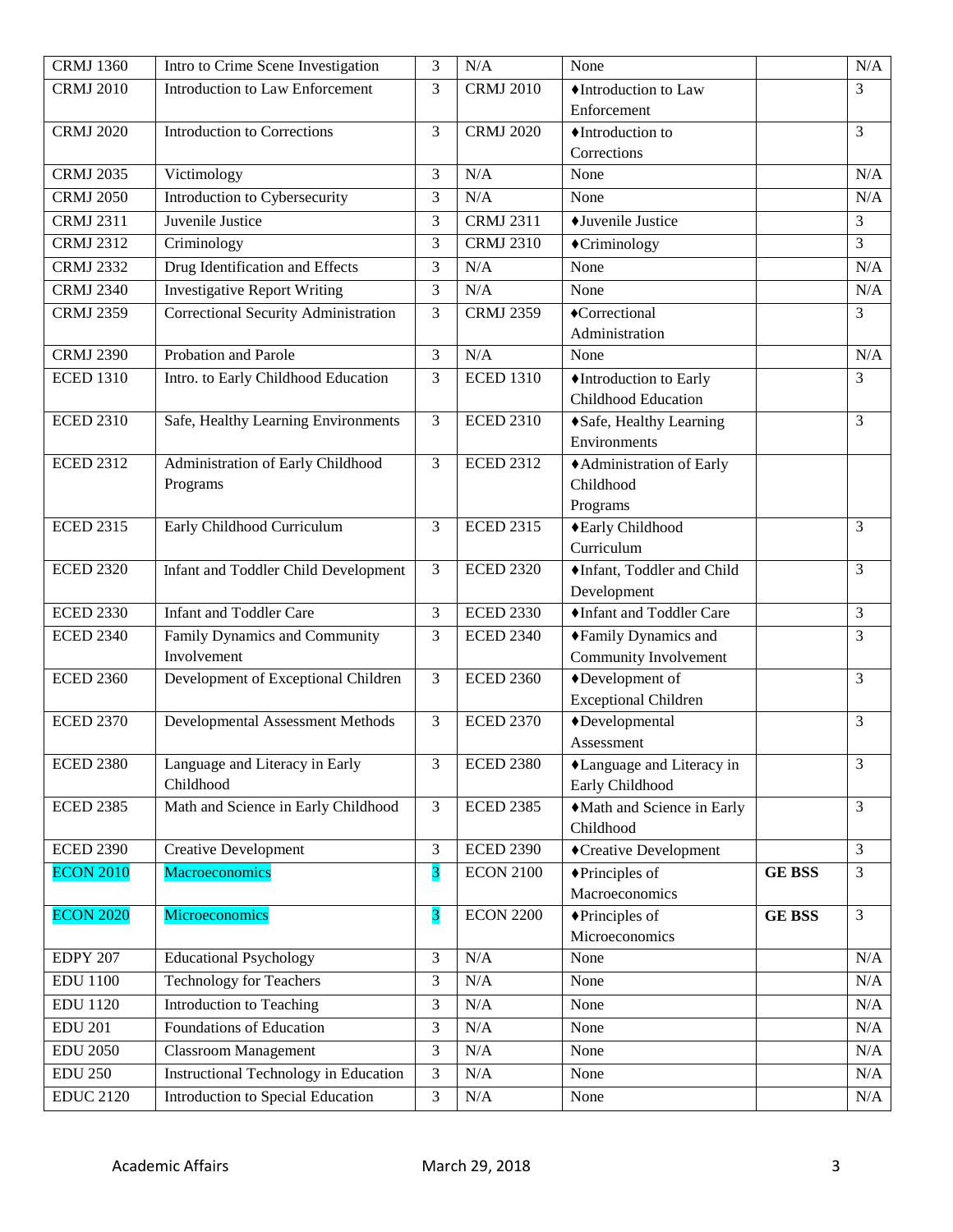| <b>CRMJ 1360</b> | Intro to Crime Scene Investigation           | 3              | N/A              | None                           |               | N/A            |
|------------------|----------------------------------------------|----------------|------------------|--------------------------------|---------------|----------------|
| <b>CRMJ 2010</b> | <b>Introduction to Law Enforcement</b>       | 3              | <b>CRMJ 2010</b> | ♦Introduction to Law           |               | 3              |
|                  |                                              |                |                  | Enforcement                    |               |                |
| <b>CRMJ 2020</b> | <b>Introduction to Corrections</b>           | 3              | <b>CRMJ 2020</b> | ♦ Introduction to              |               | $\mathfrak{Z}$ |
|                  |                                              |                |                  | Corrections                    |               |                |
| <b>CRMJ 2035</b> | Victimology                                  | 3              | N/A              | None                           |               | N/A            |
| <b>CRMJ 2050</b> | Introduction to Cybersecurity                | 3              | N/A              | None                           |               | N/A            |
| <b>CRMJ 2311</b> | Juvenile Justice                             | 3              | <b>CRMJ 2311</b> | ◆Juvenile Justice              |               | 3              |
| <b>CRMJ 2312</b> | Criminology                                  | 3              | <b>CRMJ 2310</b> | ◆Criminology                   |               | 3              |
| <b>CRMJ 2332</b> | Drug Identification and Effects              | 3              | N/A              | None                           |               | N/A            |
| <b>CRMJ 2340</b> | <b>Investigative Report Writing</b>          | 3              | N/A              | None                           |               | N/A            |
| <b>CRMJ 2359</b> | Correctional Security Administration         | 3              | <b>CRMJ 2359</b> | ◆Correctional                  |               | 3              |
|                  |                                              |                |                  | Administration                 |               |                |
| <b>CRMJ 2390</b> | Probation and Parole                         | 3              | N/A              | None                           |               | N/A            |
| <b>ECED 1310</b> | Intro. to Early Childhood Education          | $\overline{3}$ | <b>ECED 1310</b> | ♦ Introduction to Early        |               | 3              |
|                  |                                              |                |                  | <b>Childhood Education</b>     |               |                |
| <b>ECED 2310</b> | Safe, Healthy Learning Environments          | 3              | <b>ECED 2310</b> | ◆Safe, Healthy Learning        |               | 3              |
|                  |                                              |                |                  | Environments                   |               |                |
| <b>ECED 2312</b> | Administration of Early Childhood            | 3              | <b>ECED 2312</b> | +Administration of Early       |               |                |
|                  | Programs                                     |                |                  | Childhood                      |               |                |
|                  |                                              |                |                  | Programs                       |               |                |
| <b>ECED 2315</b> | Early Childhood Curriculum                   | 3              | <b>ECED 2315</b> | ◆Early Childhood<br>Curriculum |               | 3              |
| <b>ECED 2320</b> | Infant and Toddler Child Development         | 3              | <b>ECED 2320</b> | ♦ Infant, Toddler and Child    |               | $\overline{3}$ |
|                  |                                              |                |                  | Development                    |               |                |
| <b>ECED 2330</b> | <b>Infant and Toddler Care</b>               | 3              | <b>ECED 2330</b> | Infant and Toddler Care        |               | 3              |
| <b>ECED 2340</b> | Family Dynamics and Community                | 3              | <b>ECED 2340</b> | ◆Family Dynamics and           |               | 3              |
|                  | Involvement                                  |                |                  | Community Involvement          |               |                |
| <b>ECED 2360</b> | Development of Exceptional Children          | 3              | <b>ECED 2360</b> | ◆Development of                |               | 3              |
|                  |                                              |                |                  | <b>Exceptional Children</b>    |               |                |
| <b>ECED 2370</b> | Developmental Assessment Methods             | 3              | <b>ECED 2370</b> | $\blacklozenge$ Developmental  |               | 3              |
|                  |                                              |                |                  | Assessment                     |               |                |
| <b>ECED 2380</b> | Language and Literacy in Early               | 3              | <b>ECED 2380</b> | •Language and Literacy in      |               | $\mathfrak{Z}$ |
|                  | Childhood                                    |                |                  | Early Childhood                |               |                |
| <b>ECED 2385</b> | Math and Science in Early Childhood          | 3              | <b>ECED 2385</b> | Math and Science in Early      |               | 3              |
|                  |                                              |                |                  | Childhood                      |               |                |
| <b>ECED 2390</b> | <b>Creative Development</b>                  | 3              | <b>ECED 2390</b> | ◆Creative Development          |               | $\mathfrak{Z}$ |
| <b>ECON 2010</b> | Macroeconomics                               | $\overline{3}$ | <b>ECON 2100</b> | $\blacklozenge$ Principles of  | <b>GE BSS</b> | $\overline{3}$ |
|                  |                                              |                |                  | Macroeconomics                 |               |                |
| <b>ECON 2020</b> | <b>Microeconomics</b>                        | 3              | <b>ECON 2200</b> | ◆Principles of                 | <b>GE BSS</b> | $\mathfrak{Z}$ |
|                  |                                              |                |                  | Microeconomics                 |               |                |
| <b>EDPY 207</b>  | <b>Educational Psychology</b>                | 3              | $\rm N/A$        | None                           |               | N/A            |
| <b>EDU 1100</b>  | <b>Technology for Teachers</b>               | 3              | $\rm N/A$        | None                           |               | N/A            |
| <b>EDU 1120</b>  | Introduction to Teaching                     | 3              | $\rm N/A$        | None                           |               | N/A            |
| <b>EDU 201</b>   | Foundations of Education                     | 3              | $\rm N/A$        | None                           |               | N/A            |
| <b>EDU 2050</b>  | <b>Classroom Management</b>                  | 3              | $\rm N/A$        | None                           |               | N/A            |
| <b>EDU 250</b>   | <b>Instructional Technology in Education</b> | 3              | N/A              | None                           |               | N/A            |
| <b>EDUC 2120</b> | Introduction to Special Education            | 3              | $\rm N/A$        | None                           |               | N/A            |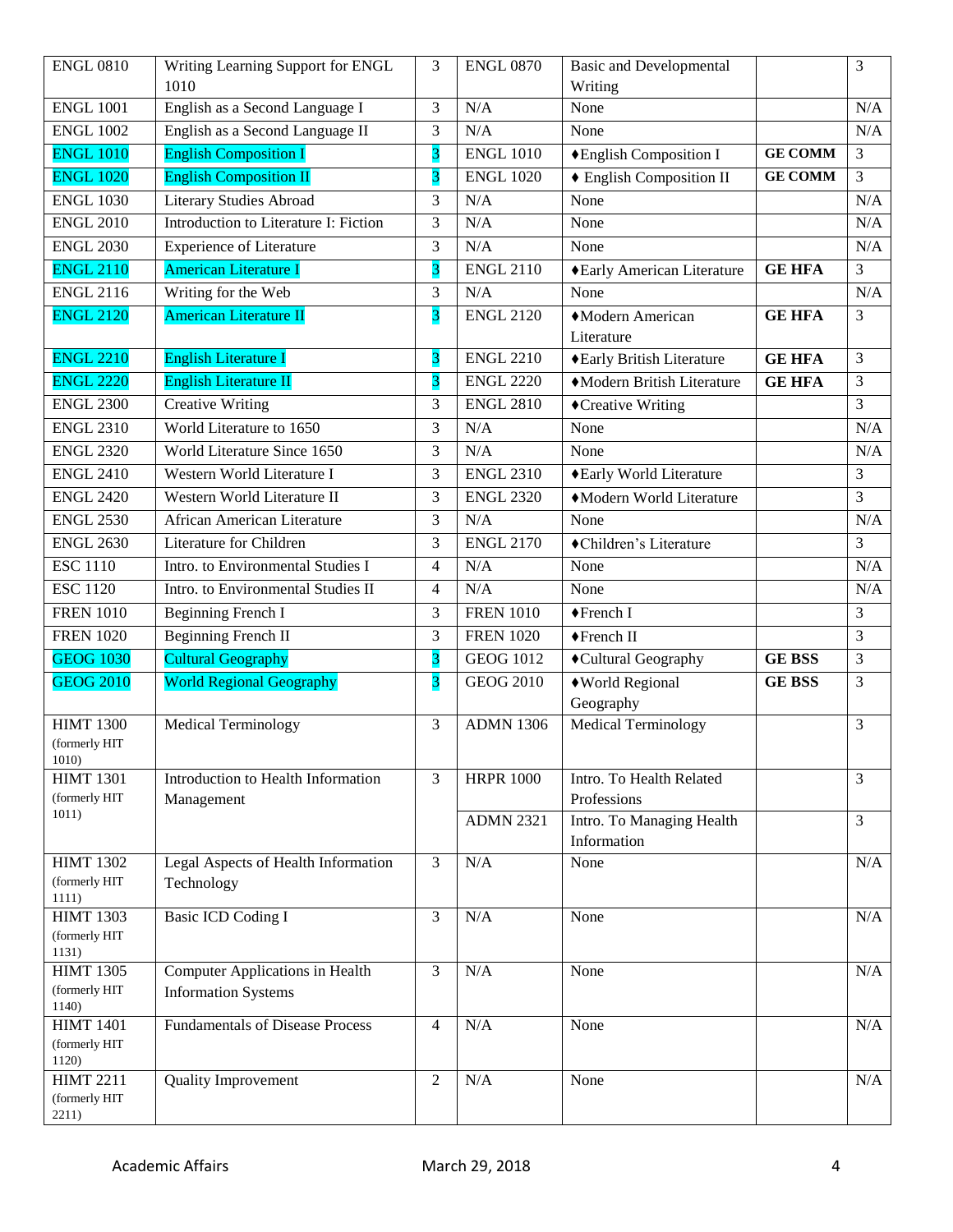| <b>ENGL 0810</b>          | Writing Learning Support for ENGL                             | 3              | <b>ENGL 0870</b> | Basic and Developmental    |                | 3              |
|---------------------------|---------------------------------------------------------------|----------------|------------------|----------------------------|----------------|----------------|
|                           | 1010                                                          |                |                  | Writing                    |                |                |
| <b>ENGL 1001</b>          | English as a Second Language I                                | 3              | N/A              | None                       |                | N/A            |
| <b>ENGL 1002</b>          | English as a Second Language II                               | 3              | N/A              | None                       |                | N/A            |
| <b>ENGL 1010</b>          | <b>English Composition I</b>                                  | 3              | <b>ENGL 1010</b> | ◆English Composition I     | <b>GE COMM</b> | $\overline{3}$ |
| <b>ENGL 1020</b>          | <b>English Composition II</b>                                 | 3              | <b>ENGL 1020</b> | ♦ English Composition II   | <b>GE COMM</b> | $\overline{3}$ |
| <b>ENGL 1030</b>          | <b>Literary Studies Abroad</b>                                | 3              | N/A              | None                       |                | N/A            |
| <b>ENGL 2010</b>          | Introduction to Literature I: Fiction                         | 3              | N/A              | None                       |                | N/A            |
| <b>ENGL 2030</b>          | <b>Experience of Literature</b>                               | 3              | N/A              | None                       |                | N/A            |
| <b>ENGL 2110</b>          | <b>American Literature I</b>                                  | 3              | <b>ENGL 2110</b> | ◆Early American Literature | <b>GE HFA</b>  | $\overline{3}$ |
| <b>ENGL 2116</b>          | Writing for the Web                                           | 3              | N/A              | None                       |                | N/A            |
| <b>ENGL 2120</b>          | <b>American Literature II</b>                                 | 3              | <b>ENGL 2120</b> | ◆Modern American           | <b>GE HFA</b>  | 3              |
|                           |                                                               |                |                  | Literature                 |                |                |
| <b>ENGL 2210</b>          | <b>English Literature I</b>                                   | 3              | <b>ENGL 2210</b> | ◆Early British Literature  | <b>GE HFA</b>  | 3              |
| <b>ENGL 2220</b>          | <b>English Literature II</b>                                  | 3              | <b>ENGL 2220</b> | Modern British Literature  | <b>GE HFA</b>  | 3              |
| <b>ENGL 2300</b>          | <b>Creative Writing</b>                                       | 3              | <b>ENGL 2810</b> | ◆Creative Writing          |                | $\overline{3}$ |
| <b>ENGL 2310</b>          | World Literature to 1650                                      | 3              | N/A              | None                       |                | N/A            |
| <b>ENGL 2320</b>          | World Literature Since 1650                                   | 3              | N/A              | None                       |                | N/A            |
| <b>ENGL 2410</b>          | Western World Literature I                                    | 3              | <b>ENGL 2310</b> | ◆Early World Literature    |                | 3              |
| <b>ENGL 2420</b>          | Western World Literature II                                   | 3              | <b>ENGL 2320</b> | Modern World Literature    |                | 3              |
| <b>ENGL 2530</b>          | African American Literature                                   | 3              | N/A              | None                       |                | N/A            |
| <b>ENGL 2630</b>          | Literature for Children                                       | 3              | <b>ENGL 2170</b> | ◆Children's Literature     |                | 3              |
| <b>ESC 1110</b>           | Intro. to Environmental Studies I                             | $\overline{4}$ | N/A              | None                       |                | N/A            |
| <b>ESC 1120</b>           | Intro. to Environmental Studies II                            | 4              | N/A              | None                       |                | N/A            |
| <b>FREN 1010</b>          | Beginning French I                                            | 3              | <b>FREN 1010</b> | ◆French I                  |                | 3              |
| <b>FREN 1020</b>          | <b>Beginning French II</b>                                    | 3              | <b>FREN 1020</b> | ◆French II                 |                | 3              |
| <b>GEOG 1030</b>          | <b>Cultural Geography</b>                                     | 3              | <b>GEOG 1012</b> | ◆Cultural Geography        | <b>GE BSS</b>  | 3              |
| <b>GEOG 2010</b>          | <b>World Regional Geography</b>                               | 3              | <b>GEOG 2010</b> | ◆World Regional            | <b>GE BSS</b>  | 3              |
|                           |                                                               |                |                  | Geography                  |                |                |
| <b>HIMT 1300</b>          | <b>Medical Terminology</b>                                    | 3              | <b>ADMN 1306</b> | <b>Medical Terminology</b> |                | 3              |
| (formerly HIT<br>1010)    |                                                               |                |                  |                            |                |                |
| <b>HIMT 1301</b>          | Introduction to Health Information                            | $\overline{3}$ | <b>HRPR 1000</b> | Intro. To Health Related   |                | $\overline{3}$ |
| (formerly HIT             | Management                                                    |                |                  | Professions                |                |                |
| 1011)                     |                                                               |                | <b>ADMN 2321</b> | Intro. To Managing Health  |                | 3              |
|                           |                                                               |                |                  | Information                |                |                |
| <b>HIMT 1302</b>          | Legal Aspects of Health Information                           | $\overline{3}$ | N/A              | None                       |                | N/A            |
| (formerly HIT<br>1111)    | Technology                                                    |                |                  |                            |                |                |
| <b>HIMT 1303</b>          | <b>Basic ICD Coding I</b>                                     | 3              | N/A              | None                       |                | N/A            |
| (formerly HIT             |                                                               |                |                  |                            |                |                |
| 1131)<br><b>HIMT 1305</b> |                                                               |                | N/A              |                            |                |                |
| (formerly HIT)            | Computer Applications in Health<br><b>Information Systems</b> | 3              |                  | None                       |                | N/A            |
| 1140)                     |                                                               |                |                  |                            |                |                |
| <b>HIMT 1401</b>          | <b>Fundamentals of Disease Process</b>                        | $\overline{4}$ | N/A              | None                       |                | N/A            |
| (formerly HIT             |                                                               |                |                  |                            |                |                |
| 1120)<br><b>HIMT 2211</b> | <b>Quality Improvement</b>                                    | $\overline{2}$ | $\rm N/A$        | None                       |                | N/A            |
| (formerly HIT             |                                                               |                |                  |                            |                |                |
| 2211)                     |                                                               |                |                  |                            |                |                |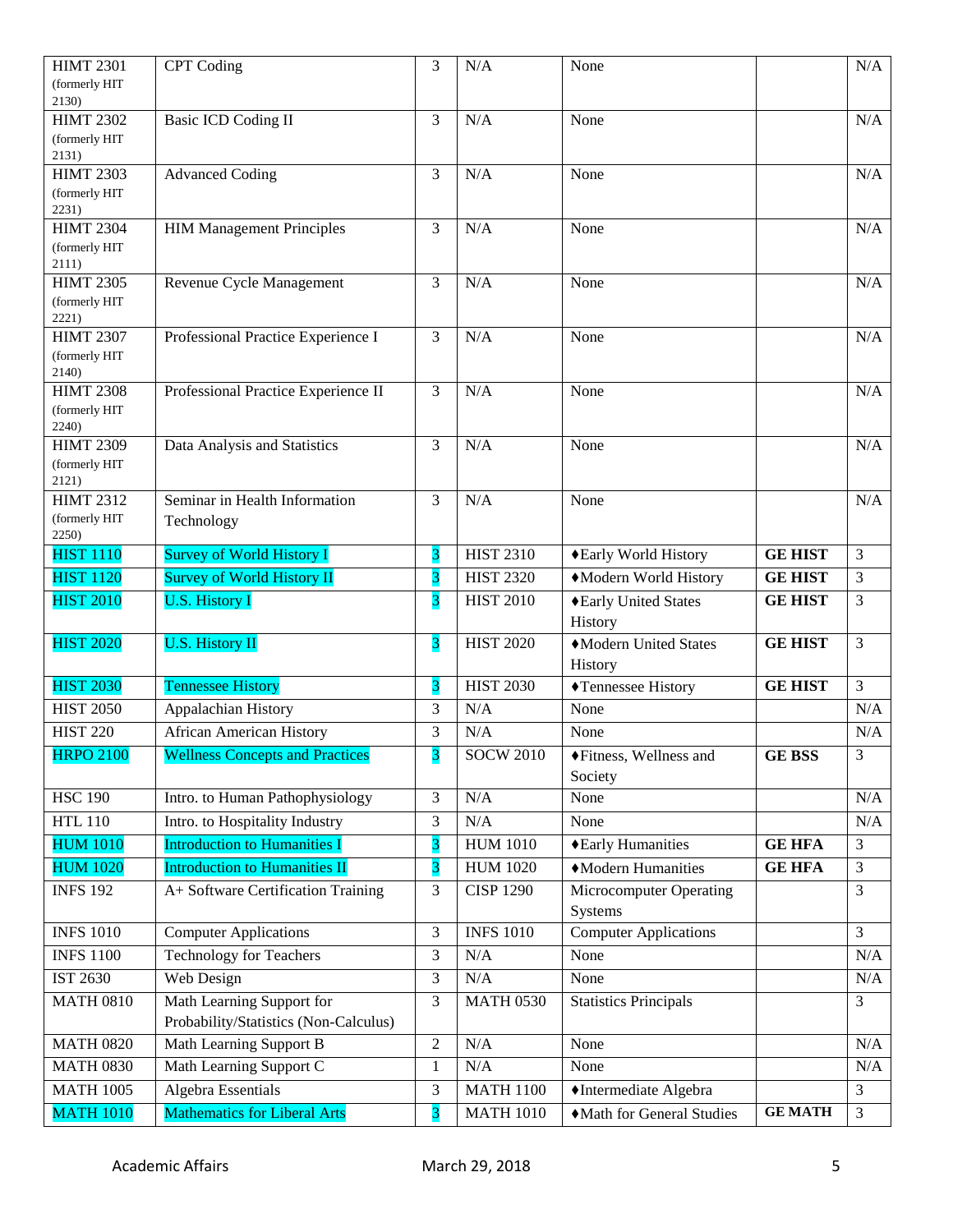| <b>HIMT 2301</b>                  | <b>CPT</b> Coding                      | 3                       | N/A              | None                         |                | N/A                              |
|-----------------------------------|----------------------------------------|-------------------------|------------------|------------------------------|----------------|----------------------------------|
| (formerly HIT                     |                                        |                         |                  |                              |                |                                  |
| 2130)                             |                                        |                         |                  |                              |                |                                  |
| <b>HIMT 2302</b><br>(formerly HIT | <b>Basic ICD Coding II</b>             | 3                       | N/A              | None                         |                | N/A                              |
| 2131)                             |                                        |                         |                  |                              |                |                                  |
| <b>HIMT 2303</b>                  | <b>Advanced Coding</b>                 | 3                       | N/A              | None                         |                | N/A                              |
| (formerly HIT)                    |                                        |                         |                  |                              |                |                                  |
| 2231)                             |                                        |                         |                  |                              |                |                                  |
| <b>HIMT 2304</b><br>(formerly HIT | <b>HIM Management Principles</b>       | 3                       | N/A              | None                         |                | N/A                              |
| 2111)                             |                                        |                         |                  |                              |                |                                  |
| <b>HIMT 2305</b>                  | Revenue Cycle Management               | 3                       | N/A              | None                         |                | N/A                              |
| (formerly HIT                     |                                        |                         |                  |                              |                |                                  |
| 2221)                             |                                        |                         |                  |                              |                |                                  |
| <b>HIMT 2307</b><br>(formerly HIT | Professional Practice Experience I     | 3                       | N/A              | None                         |                | $\rm N/A$                        |
| 2140)                             |                                        |                         |                  |                              |                |                                  |
| <b>HIMT 2308</b>                  | Professional Practice Experience II    | 3                       | N/A              | None                         |                | N/A                              |
| (formerly HIT                     |                                        |                         |                  |                              |                |                                  |
| 2240)                             |                                        |                         |                  |                              |                |                                  |
| <b>HIMT 2309</b><br>(formerly HIT | Data Analysis and Statistics           | 3                       | N/A              | None                         |                | N/A                              |
| 2121)                             |                                        |                         |                  |                              |                |                                  |
| <b>HIMT 2312</b>                  | Seminar in Health Information          | 3                       | N/A              | None                         |                | N/A                              |
| (formerly HIT                     | Technology                             |                         |                  |                              |                |                                  |
| 2250)                             |                                        |                         |                  |                              |                |                                  |
| <b>HIST 1110</b>                  | <b>Survey of World History I</b>       | 3                       | <b>HIST 2310</b> | ◆Early World History         | <b>GE HIST</b> | $\mathfrak{Z}$<br>$\mathfrak{Z}$ |
|                                   |                                        |                         |                  |                              |                |                                  |
| <b>HIST 1120</b>                  | <b>Survey of World History II</b>      | 3                       | <b>HIST 2320</b> | Modern World History         | <b>GE HIST</b> |                                  |
| <b>HIST 2010</b>                  | <b>U.S. History I</b>                  | 3                       | <b>HIST 2010</b> | ◆Early United States         | <b>GE HIST</b> | 3                                |
|                                   |                                        |                         |                  | History                      |                |                                  |
| <b>HIST 2020</b>                  | <b>U.S. History II</b>                 | 3                       | <b>HIST 2020</b> | Modern United States         | <b>GE HIST</b> | $\overline{3}$                   |
|                                   |                                        |                         |                  | History                      |                |                                  |
| <b>HIST 2030</b>                  | <b>Tennessee History</b>               | 3                       | <b>HIST 2030</b> | ◆Tennessee History           | <b>GE HIST</b> | 3                                |
| <b>HIST 2050</b>                  | Appalachian History                    | 3                       | N/A              | None                         |                | N/A                              |
| <b>HIST 220</b>                   | <b>African American History</b>        | 3                       | N/A              | None                         |                | $\rm N/A$                        |
| <b>HRPO 2100</b>                  | <b>Wellness Concepts and Practices</b> | $\overline{\mathbf{3}}$ | <b>SOCW 2010</b> | ◆Fitness, Wellness and       | <b>GE BSS</b>  | 3                                |
|                                   |                                        |                         |                  | Society                      |                |                                  |
| <b>HSC 190</b>                    | Intro. to Human Pathophysiology        | 3                       | N/A              | None                         |                | $\rm N/A$                        |
| <b>HTL 110</b>                    | Intro. to Hospitality Industry         | 3                       | N/A              | None                         |                | N/A                              |
| <b>HUM 1010</b>                   | <b>Introduction to Humanities I</b>    | 3                       | <b>HUM 1010</b>  | ◆Early Humanities            | <b>GE HFA</b>  | 3                                |
| <b>HUM 1020</b>                   | <b>Introduction to Humanities II</b>   | 3                       | <b>HUM 1020</b>  | Modern Humanities            | <b>GE HFA</b>  | $\mathfrak{Z}$                   |
| <b>INFS 192</b>                   | A+ Software Certification Training     | 3                       | <b>CISP 1290</b> | Microcomputer Operating      |                | $\overline{3}$                   |
|                                   |                                        |                         |                  | Systems                      |                |                                  |
| <b>INFS 1010</b>                  | <b>Computer Applications</b>           | 3                       | <b>INFS 1010</b> | <b>Computer Applications</b> |                | $\overline{3}$                   |
| <b>INFS 1100</b>                  | <b>Technology for Teachers</b>         | 3                       | $\rm N/A$        | None                         |                | $\rm N/A$                        |
| IST 2630                          | Web Design                             | 3                       | N/A              | None                         |                | N/A                              |
| <b>MATH 0810</b>                  | Math Learning Support for              | 3                       | <b>MATH 0530</b> | <b>Statistics Principals</b> |                | 3                                |
|                                   | Probability/Statistics (Non-Calculus)  |                         |                  |                              |                |                                  |
| <b>MATH 0820</b>                  | Math Learning Support B                | $\overline{c}$          | N/A              | None                         |                | N/A                              |
| <b>MATH 0830</b>                  | Math Learning Support C                | $\mathbf{1}$            | $\rm N/A$        | None                         |                | N/A                              |
| <b>MATH 1005</b>                  | Algebra Essentials                     | 3                       | <b>MATH 1100</b> | ◆Intermediate Algebra        |                | $\overline{3}$                   |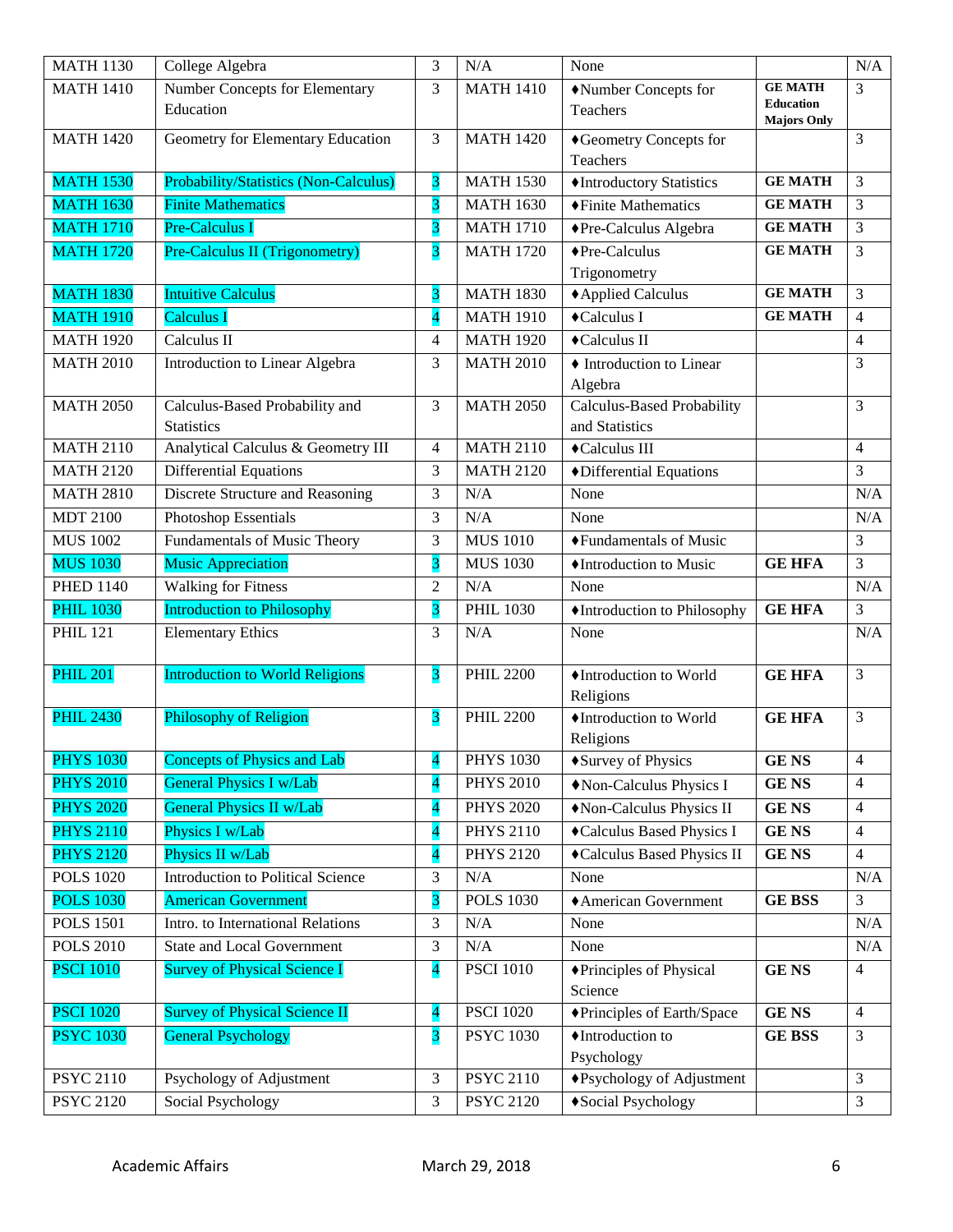| <b>MATH 1130</b> | College Algebra                              | 3                        | N/A              | None                              |                                        | N/A            |
|------------------|----------------------------------------------|--------------------------|------------------|-----------------------------------|----------------------------------------|----------------|
| <b>MATH 1410</b> | Number Concepts for Elementary               | 3                        | <b>MATH 1410</b> | Number Concepts for               | <b>GE MATH</b>                         | 3              |
|                  | Education                                    |                          |                  | Teachers                          | <b>Education</b><br><b>Majors Only</b> |                |
| <b>MATH 1420</b> | Geometry for Elementary Education            | 3                        | <b>MATH 1420</b> | ◆Geometry Concepts for            |                                        | 3              |
|                  |                                              |                          |                  | <b>Teachers</b>                   |                                        |                |
| <b>MATH 1530</b> | <b>Probability/Statistics (Non-Calculus)</b> | 3                        | <b>MATH 1530</b> | ◆Introductory Statistics          | <b>GE MATH</b>                         | 3              |
| <b>MATH 1630</b> | <b>Finite Mathematics</b>                    | 3                        | <b>MATH 1630</b> | ◆Finite Mathematics               | <b>GE MATH</b>                         | 3              |
| <b>MATH 1710</b> | Pre-Calculus I                               | 3                        | <b>MATH 1710</b> | ◆Pre-Calculus Algebra             | <b>GE MATH</b>                         | $\overline{3}$ |
| <b>MATH 1720</b> | Pre-Calculus II (Trigonometry)               | 3                        | <b>MATH 1720</b> | $\blacklozenge$ Pre-Calculus      | <b>GE MATH</b>                         | 3              |
|                  |                                              |                          |                  | Trigonometry                      |                                        |                |
| <b>MATH 1830</b> | <b>Intuitive Calculus</b>                    | 3                        | <b>MATH 1830</b> | ◆ Applied Calculus                | <b>GE MATH</b>                         | 3              |
| <b>MATH 1910</b> | <b>Calculus I</b>                            | 4                        | <b>MATH 1910</b> | ◆Calculus I                       | <b>GE MATH</b>                         | $\overline{4}$ |
| <b>MATH 1920</b> | Calculus II                                  | $\overline{4}$           | <b>MATH 1920</b> | ◆Calculus II                      |                                        | 4              |
| <b>MATH 2010</b> | Introduction to Linear Algebra               | 3                        | <b>MATH 2010</b> | • Introduction to Linear          |                                        | 3              |
|                  |                                              |                          |                  | Algebra                           |                                        |                |
| <b>MATH 2050</b> | Calculus-Based Probability and               | 3                        | <b>MATH 2050</b> | <b>Calculus-Based Probability</b> |                                        | 3              |
|                  | <b>Statistics</b>                            |                          |                  | and Statistics                    |                                        |                |
| <b>MATH 2110</b> | Analytical Calculus & Geometry III           | $\overline{4}$           | <b>MATH 2110</b> | ◆Calculus III                     |                                        | 4              |
| <b>MATH 2120</b> | <b>Differential Equations</b>                | 3                        | <b>MATH 2120</b> | ◆Differential Equations           |                                        | 3              |
| <b>MATH 2810</b> | Discrete Structure and Reasoning             | 3                        | N/A              | None                              |                                        | N/A            |
| <b>MDT 2100</b>  | <b>Photoshop Essentials</b>                  | 3                        | N/A              | None                              |                                        | N/A            |
| <b>MUS 1002</b>  | Fundamentals of Music Theory                 | 3                        | <b>MUS 1010</b>  | ◆Fundamentals of Music            |                                        | 3              |
| <b>MUS 1030</b>  | <b>Music Appreciation</b>                    | 3                        | <b>MUS 1030</b>  | ♦Introduction to Music            | <b>GE HFA</b>                          | $\overline{3}$ |
| <b>PHED 1140</b> | <b>Walking for Fitness</b>                   | $\overline{2}$           | N/A              | None                              |                                        | N/A            |
| <b>PHIL 1030</b> | <b>Introduction to Philosophy</b>            | 3                        | <b>PHIL 1030</b> | ♦ Introduction to Philosophy      | <b>GE HFA</b>                          | 3              |
| <b>PHIL 121</b>  | <b>Elementary Ethics</b>                     | 3                        | N/A              | None                              |                                        | N/A            |
| <b>PHIL 201</b>  | <b>Introduction to World Religions</b>       | 3                        | <b>PHIL 2200</b> | ♦Introduction to World            | <b>GE HFA</b>                          | 3              |
|                  |                                              |                          |                  | Religions                         |                                        |                |
| <b>PHIL 2430</b> | Philosophy of Religion                       | 3                        | <b>PHIL 2200</b> | ◆Introduction to World            | <b>GE HFA</b>                          | 3              |
|                  |                                              |                          |                  | Religions                         |                                        |                |
| <b>PHYS 1030</b> | <b>Concepts of Physics and Lab</b>           | $\overline{4}$           | <b>PHYS 1030</b> | ◆Survey of Physics                | <b>GENS</b>                            | 4              |
| <b>PHYS 2010</b> | <b>General Physics I w/Lab</b>               | 4                        | <b>PHYS 2010</b> | Non-Calculus Physics I            | <b>GENS</b>                            | $\overline{4}$ |
| <b>PHYS 2020</b> | <b>General Physics II w/Lab</b>              | $\overline{\mathbf{4}}$  | <b>PHYS 2020</b> | Non-Calculus Physics II           | <b>GENS</b>                            | $\overline{4}$ |
| <b>PHYS 2110</b> | Physics I w/Lab                              | $\overline{\mathbf{4}}$  | <b>PHYS 2110</b> | ◆Calculus Based Physics I         | <b>GENS</b>                            | 4              |
| <b>PHYS 2120</b> | Physics II w/Lab                             | $\overline{\mathbf{4}}$  | <b>PHYS 2120</b> | ◆Calculus Based Physics II        | <b>GENS</b>                            | $\overline{4}$ |
| <b>POLS 1020</b> | Introduction to Political Science            | 3                        | N/A              | None                              |                                        | N/A            |
| <b>POLS 1030</b> | <b>American Government</b>                   | 3                        | <b>POLS 1030</b> | ◆ American Government             | <b>GE BSS</b>                          | 3              |
| <b>POLS 1501</b> | Intro. to International Relations            | 3                        | N/A              | None                              |                                        | N/A            |
| <b>POLS 2010</b> | <b>State and Local Government</b>            | 3                        | N/A              | None                              |                                        | N/A            |
| <b>PSCI 1010</b> | <b>Survey of Physical Science I</b>          | $\overline{\mathcal{A}}$ | <b>PSCI 1010</b> | ◆Principles of Physical           | <b>GENS</b>                            | 4              |
|                  |                                              |                          |                  | Science                           |                                        |                |
| <b>PSCI 1020</b> | <b>Survey of Physical Science II</b>         | $\overline{\mathbf{4}}$  | <b>PSCI 1020</b> | ◆Principles of Earth/Space        | <b>GENS</b>                            | $\overline{4}$ |
| <b>PSYC 1030</b> | <b>General Psychology</b>                    | $\overline{\mathbf{3}}$  | <b>PSYC 1030</b> | ♦ Introduction to                 | <b>GE BSS</b>                          | $\mathfrak{Z}$ |
|                  |                                              |                          |                  | Psychology                        |                                        |                |
| <b>PSYC 2110</b> | Psychology of Adjustment                     | 3                        | <b>PSYC 2110</b> | ◆Psychology of Adjustment         |                                        | $\overline{3}$ |
| <b>PSYC 2120</b> | Social Psychology                            | 3                        | <b>PSYC 2120</b> | ◆Social Psychology                |                                        | $\mathfrak{Z}$ |